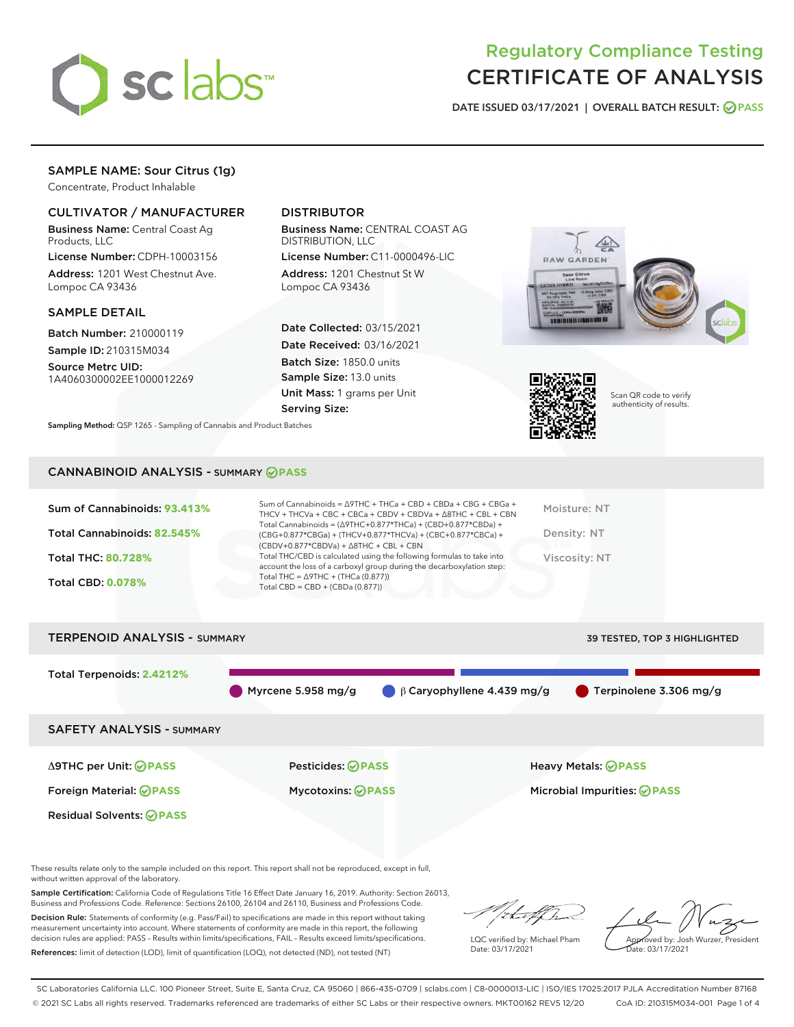

# Regulatory Compliance Testing CERTIFICATE OF ANALYSIS

DATE ISSUED 03/17/2021 | OVERALL BATCH RESULT: @ PASS

# SAMPLE NAME: Sour Citrus (1g)

Concentrate, Product Inhalable

## CULTIVATOR / MANUFACTURER

Business Name: Central Coast Ag Products, LLC

License Number: CDPH-10003156 Address: 1201 West Chestnut Ave. Lompoc CA 93436

## SAMPLE DETAIL

Batch Number: 210000119

Sample ID: 210315M034 Source Metrc UID:

1A4060300002EE1000012269

## DISTRIBUTOR

Business Name: CENTRAL COAST AG DISTRIBUTION, LLC

License Number: C11-0000496-LIC Address: 1201 Chestnut St W Lompoc CA 93436

Date Collected: 03/15/2021 Date Received: 03/16/2021 Batch Size: 1850.0 units Sample Size: 13.0 units Unit Mass: 1 grams per Unit Serving Size:





Scan QR code to verify authenticity of results.

CANNABINOID ANALYSIS - SUMMARY **PASS**

Sampling Method: QSP 1265 - Sampling of Cannabis and Product Batches

| Sum of Cannabinoids: 93.413% | Sum of Cannabinoids = $\triangle$ 9THC + THCa + CBD + CBDa + CBG + CBGa +<br>THCV + THCVa + CBC + CBCa + CBDV + CBDVa + $\Delta$ 8THC + CBL + CBN | Moisture: NT |
|------------------------------|---------------------------------------------------------------------------------------------------------------------------------------------------|--------------|
| Total Cannabinoids: 82.545%  | Total Cannabinoids = $(\Delta 9THC+0.877*THCa) + (CBD+0.877*CBDa) +$<br>$(CBG+0.877*CBGa) + (THCV+0.877*THCVa) + (CBC+0.877*CBCa) +$              | Density: NT  |

Total THC: **80.728%**

Total CBD: **0.078%**

(CBDV+0.877\*CBDVa) + ∆8THC + CBL + CBN Total THC/CBD is calculated using the following formulas to take into account the loss of a carboxyl group during the decarboxylation step: Total THC = ∆9THC + (THCa (0.877)) Total CBD = CBD + (CBDa (0.877))

Viscosity: NT



These results relate only to the sample included on this report. This report shall not be reproduced, except in full, without written approval of the laboratory.

Sample Certification: California Code of Regulations Title 16 Effect Date January 16, 2019. Authority: Section 26013, Business and Professions Code. Reference: Sections 26100, 26104 and 26110, Business and Professions Code.

Decision Rule: Statements of conformity (e.g. Pass/Fail) to specifications are made in this report without taking measurement uncertainty into account. Where statements of conformity are made in this report, the following decision rules are applied: PASS – Results within limits/specifications, FAIL – Results exceed limits/specifications. References: limit of detection (LOD), limit of quantification (LOQ), not detected (ND), not tested (NT)

that fCh

LQC verified by: Michael Pham Date: 03/17/2021

Approved by: Josh Wurzer, President ate: 03/17/2021

SC Laboratories California LLC. 100 Pioneer Street, Suite E, Santa Cruz, CA 95060 | 866-435-0709 | sclabs.com | C8-0000013-LIC | ISO/IES 17025:2017 PJLA Accreditation Number 87168 © 2021 SC Labs all rights reserved. Trademarks referenced are trademarks of either SC Labs or their respective owners. MKT00162 REV5 12/20 CoA ID: 210315M034-001 Page 1 of 4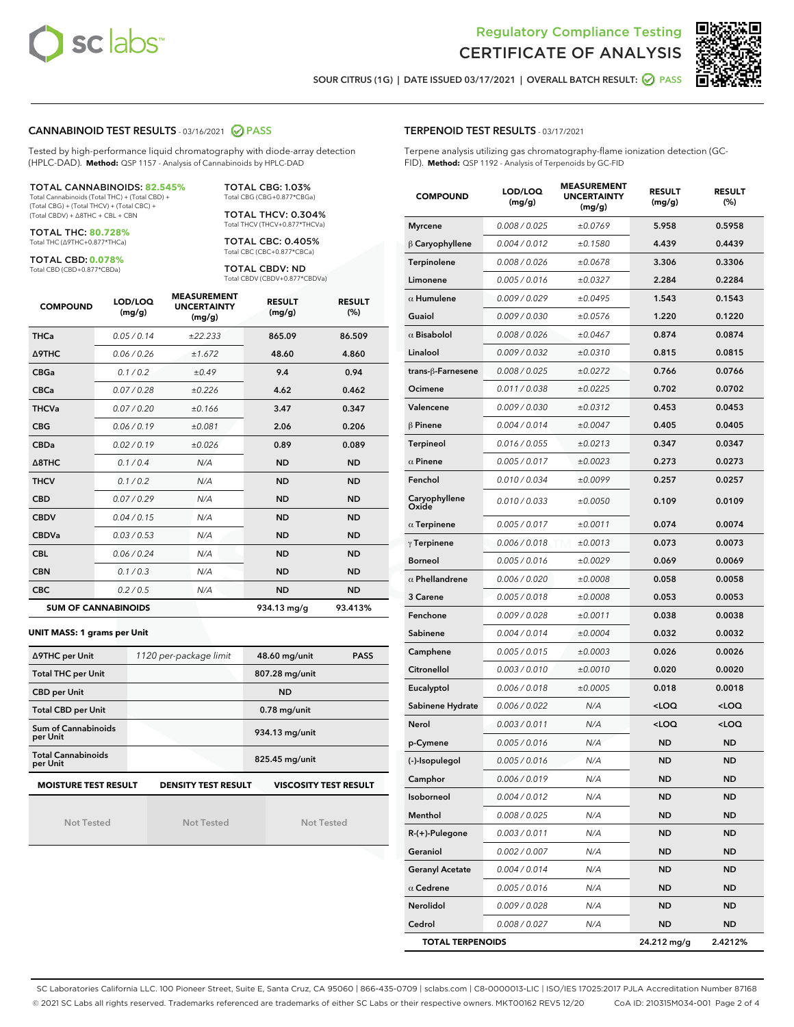



SOUR CITRUS (1G) | DATE ISSUED 03/17/2021 | OVERALL BATCH RESULT: @ PASS

## CANNABINOID TEST RESULTS - 03/16/2021 2 PASS

Tested by high-performance liquid chromatography with diode-array detection (HPLC-DAD). **Method:** QSP 1157 - Analysis of Cannabinoids by HPLC-DAD

#### TOTAL CANNABINOIDS: **82.545%**

Total Cannabinoids (Total THC) + (Total CBD) + (Total CBG) + (Total THCV) + (Total CBC) + (Total CBDV) + ∆8THC + CBL + CBN

TOTAL THC: **80.728%** Total THC (∆9THC+0.877\*THCa)

TOTAL CBD: **0.078%**

Total CBD (CBD+0.877\*CBDa)

TOTAL CBG: 1.03% Total CBG (CBG+0.877\*CBGa) TOTAL THCV: 0.304%

Total THCV (THCV+0.877\*THCVa)

TOTAL CBC: 0.405% Total CBC (CBC+0.877\*CBCa)

TOTAL CBDV: ND Total CBDV (CBDV+0.877\*CBDVa)

| <b>COMPOUND</b>  | LOD/LOQ<br>(mg/g)          | <b>MEASUREMENT</b><br><b>UNCERTAINTY</b><br>(mg/g) | <b>RESULT</b><br>(mg/g) | <b>RESULT</b><br>(%) |
|------------------|----------------------------|----------------------------------------------------|-------------------------|----------------------|
| <b>THCa</b>      | 0.05/0.14                  | ±22.233                                            | 865.09                  | 86.509               |
| <b>A9THC</b>     | 0.06 / 0.26                | ±1.672                                             | 48.60                   | 4.860                |
| <b>CBGa</b>      | 0.1 / 0.2                  | ±0.49                                              | 9.4                     | 0.94                 |
| <b>CBCa</b>      | 0.07 / 0.28                | ±0.226                                             | 4.62                    | 0.462                |
| <b>THCVa</b>     | 0.07/0.20                  | ±0.166                                             | 3.47                    | 0.347                |
| <b>CBG</b>       | 0.06/0.19                  | ±0.081                                             | 2.06                    | 0.206                |
| <b>CBDa</b>      | 0.02/0.19                  | ±0.026                                             | 0.89                    | 0.089                |
| $\triangle$ 8THC | 0.1/0.4                    | N/A                                                | <b>ND</b>               | <b>ND</b>            |
| <b>THCV</b>      | 0.1/0.2                    | N/A                                                | <b>ND</b>               | <b>ND</b>            |
| <b>CBD</b>       | 0.07/0.29                  | N/A                                                | <b>ND</b>               | <b>ND</b>            |
| <b>CBDV</b>      | 0.04 / 0.15                | N/A                                                | <b>ND</b>               | <b>ND</b>            |
| <b>CBDVa</b>     | 0.03/0.53                  | N/A                                                | <b>ND</b>               | <b>ND</b>            |
| <b>CBL</b>       | 0.06 / 0.24                | N/A                                                | <b>ND</b>               | <b>ND</b>            |
| <b>CBN</b>       | 0.1/0.3                    | N/A                                                | <b>ND</b>               | <b>ND</b>            |
| <b>CBC</b>       | 0.2 / 0.5                  | N/A                                                | <b>ND</b>               | <b>ND</b>            |
|                  | <b>SUM OF CANNABINOIDS</b> |                                                    | 934.13 mg/g             | 93.413%              |

#### **UNIT MASS: 1 grams per Unit**

| ∆9THC per Unit                         | 1120 per-package limit     | 48.60 mg/unit<br><b>PASS</b> |  |  |
|----------------------------------------|----------------------------|------------------------------|--|--|
| <b>Total THC per Unit</b>              |                            | 807.28 mg/unit               |  |  |
| <b>CBD per Unit</b>                    |                            | <b>ND</b>                    |  |  |
| <b>Total CBD per Unit</b>              |                            | $0.78$ mg/unit               |  |  |
| <b>Sum of Cannabinoids</b><br>per Unit |                            | 934.13 mg/unit               |  |  |
| <b>Total Cannabinoids</b><br>per Unit  |                            | 825.45 mg/unit               |  |  |
| <b>MOISTURE TEST RESULT</b>            | <b>DENSITY TEST RESULT</b> | <b>VISCOSITY TEST RESULT</b> |  |  |

Not Tested

**MOISTURE TEST RESULT**

Not Tested

Not Tested

## TERPENOID TEST RESULTS - 03/17/2021

Terpene analysis utilizing gas chromatography-flame ionization detection (GC-FID). **Method:** QSP 1192 - Analysis of Terpenoids by GC-FID

| <b>COMPOUND</b>         | LOD/LOQ<br>(mg/g)    | <b>MEASUREMENT</b><br><b>UNCERTAINTY</b><br>(mg/g) | <b>RESULT</b><br>(mg/g)                         | <b>RESULT</b><br>(%) |
|-------------------------|----------------------|----------------------------------------------------|-------------------------------------------------|----------------------|
| <b>Myrcene</b>          | 0.008 / 0.025        | ±0.0769                                            | 5.958                                           | 0.5958               |
| $\beta$ Caryophyllene   | 0.004 / 0.012        | ±0.1580                                            | 4.439                                           | 0.4439               |
| Terpinolene             | 0.008 / 0.026        | ±0.0678                                            | 3.306                                           | 0.3306               |
| Limonene                | 0.005 / 0.016        | ±0.0327                                            | 2.284                                           | 0.2284               |
| $\alpha$ Humulene       | 0.009 / 0.029        | ±0.0495                                            | 1.543                                           | 0.1543               |
| Guaiol                  | <i>0.009 / 0.030</i> | ±0.0576                                            | 1.220                                           | 0.1220               |
| $\alpha$ Bisabolol      | 0.008 / 0.026        | ±0.0467                                            | 0.874                                           | 0.0874               |
| Linalool                | 0.009 / 0.032        | ±0.0310                                            | 0.815                                           | 0.0815               |
| trans-ß-Farnesene       | 0.008 / 0.025        | ±0.0272                                            | 0.766                                           | 0.0766               |
| Ocimene                 | 0.011 / 0.038        | ±0.0225                                            | 0.702                                           | 0.0702               |
| Valencene               | 0.009 / 0.030        | ±0.0312                                            | 0.453                                           | 0.0453               |
| $\beta$ Pinene          | 0.004 / 0.014        | ±0.0047                                            | 0.405                                           | 0.0405               |
| <b>Terpineol</b>        | 0.016 / 0.055        | ±0.0213                                            | 0.347                                           | 0.0347               |
| $\alpha$ Pinene         | 0.005 / 0.017        | ±0.0023                                            | 0.273                                           | 0.0273               |
| Fenchol                 | 0.010 / 0.034        | ±0.0099                                            | 0.257                                           | 0.0257               |
| Caryophyllene<br>Oxide  | 0.010 / 0.033        | ±0.0050                                            | 0.109                                           | 0.0109               |
| $\alpha$ Terpinene      | 0.005 / 0.017        | ±0.0011                                            | 0.074                                           | 0.0074               |
| $\gamma$ Terpinene      | 0.006 / 0.018        | ±0.0013                                            | 0.073                                           | 0.0073               |
| <b>Borneol</b>          | 0.005 / 0.016        | ±0.0029                                            | 0.069                                           | 0.0069               |
| $\alpha$ Phellandrene   | 0.006 / 0.020        | ±0.0008                                            | 0.058                                           | 0.0058               |
| 3 Carene                | $0.005$ / $0.018$    | ±0.0008                                            | 0.053                                           | 0.0053               |
| Fenchone                | 0.009 / 0.028        | ±0.0011                                            | 0.038                                           | 0.0038               |
| Sabinene                | 0.004 / 0.014        | ±0.0004                                            | 0.032                                           | 0.0032               |
| Camphene                | 0.005 / 0.015        | ±0.0003                                            | 0.026                                           | 0.0026               |
| Citronellol             | 0.003 / 0.010        | ±0.0010                                            | 0.020                                           | 0.0020               |
| Eucalyptol              | 0.006 / 0.018        | ±0.0005                                            | 0.018                                           | 0.0018               |
| Sabinene Hydrate        | 0.006 / 0.022        | N/A                                                | <loq< th=""><th><loq< th=""></loq<></th></loq<> | <loq< th=""></loq<>  |
| Nerol                   | 0.003 / 0.011        | N/A                                                | <loq< th=""><th><loq< th=""></loq<></th></loq<> | <loq< th=""></loq<>  |
| p-Cymene                | 0.005 / 0.016        | N/A                                                | ND                                              | ND                   |
| (-)-Isopulegol          | 0.005 / 0.016        | N/A                                                | <b>ND</b>                                       | <b>ND</b>            |
| Camphor                 | 0.006 / 0.019        | N/A                                                | ND                                              | <b>ND</b>            |
| Isoborneol              | 0.004 / 0.012        | N/A                                                | ND                                              | ND                   |
| Menthol                 | 0.008 / 0.025        | N/A                                                | ND                                              | ND                   |
| R-(+)-Pulegone          | 0.003 / 0.011        | N/A                                                | ND                                              | ND                   |
| Geraniol                | 0.002 / 0.007        | N/A                                                | ND                                              | ND                   |
| <b>Geranyl Acetate</b>  | 0.004 / 0.014        | N/A                                                | ND                                              | ND                   |
| $\alpha$ Cedrene        | 0.005 / 0.016        | N/A                                                | ND                                              | ND                   |
| Nerolidol               | 0.009 / 0.028        | N/A                                                | ND                                              | ND                   |
| Cedrol                  | 0.008 / 0.027        | N/A                                                | ND                                              | ND                   |
| <b>TOTAL TERPENOIDS</b> |                      |                                                    | 24.212 mg/g                                     | 2.4212%              |

SC Laboratories California LLC. 100 Pioneer Street, Suite E, Santa Cruz, CA 95060 | 866-435-0709 | sclabs.com | C8-0000013-LIC | ISO/IES 17025:2017 PJLA Accreditation Number 87168 © 2021 SC Labs all rights reserved. Trademarks referenced are trademarks of either SC Labs or their respective owners. MKT00162 REV5 12/20 CoA ID: 210315M034-001 Page 2 of 4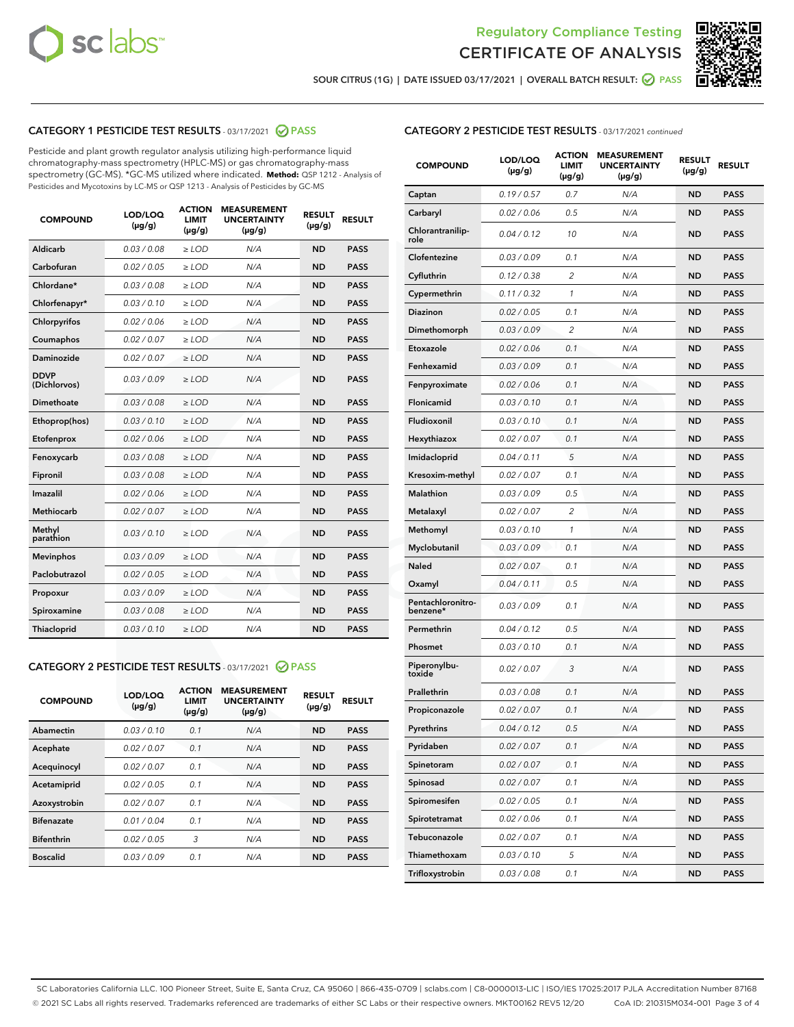



SOUR CITRUS (1G) | DATE ISSUED 03/17/2021 | OVERALL BATCH RESULT: ☑ PASS

## CATEGORY 1 PESTICIDE TEST RESULTS - 03/17/2021 2 PASS

Pesticide and plant growth regulator analysis utilizing high-performance liquid chromatography-mass spectrometry (HPLC-MS) or gas chromatography-mass spectrometry (GC-MS). \*GC-MS utilized where indicated. **Method:** QSP 1212 - Analysis of Pesticides and Mycotoxins by LC-MS or QSP 1213 - Analysis of Pesticides by GC-MS

| <b>COMPOUND</b>             | LOD/LOQ<br>$(\mu g/g)$ | <b>ACTION</b><br><b>LIMIT</b><br>$(\mu g/g)$ | <b>MEASUREMENT</b><br><b>UNCERTAINTY</b><br>$(\mu g/g)$ | <b>RESULT</b><br>$(\mu g/g)$ | <b>RESULT</b> |
|-----------------------------|------------------------|----------------------------------------------|---------------------------------------------------------|------------------------------|---------------|
| Aldicarb                    | 0.03 / 0.08            | $\geq$ LOD                                   | N/A                                                     | <b>ND</b>                    | <b>PASS</b>   |
| Carbofuran                  | 0.02/0.05              | $>$ LOD                                      | N/A                                                     | <b>ND</b>                    | <b>PASS</b>   |
| Chlordane*                  | 0.03 / 0.08            | $\ge$ LOD                                    | N/A                                                     | <b>ND</b>                    | <b>PASS</b>   |
| Chlorfenapyr*               | 0.03/0.10              | $\ge$ LOD                                    | N/A                                                     | <b>ND</b>                    | <b>PASS</b>   |
| Chlorpyrifos                | 0.02/0.06              | $>$ LOD                                      | N/A                                                     | <b>ND</b>                    | <b>PASS</b>   |
| Coumaphos                   | 0.02 / 0.07            | $>$ LOD                                      | N/A                                                     | <b>ND</b>                    | <b>PASS</b>   |
| Daminozide                  | 0.02 / 0.07            | $\ge$ LOD                                    | N/A                                                     | <b>ND</b>                    | <b>PASS</b>   |
| <b>DDVP</b><br>(Dichlorvos) | 0.03/0.09              | $\ge$ LOD                                    | N/A                                                     | <b>ND</b>                    | <b>PASS</b>   |
| <b>Dimethoate</b>           | 0.03 / 0.08            | $\ge$ LOD                                    | N/A                                                     | <b>ND</b>                    | <b>PASS</b>   |
| Ethoprop(hos)               | 0.03/0.10              | $>$ LOD                                      | N/A                                                     | <b>ND</b>                    | <b>PASS</b>   |
| Etofenprox                  | 0.02 / 0.06            | $\ge$ LOD                                    | N/A                                                     | <b>ND</b>                    | <b>PASS</b>   |
| Fenoxycarb                  | 0.03 / 0.08            | $\ge$ LOD                                    | N/A                                                     | <b>ND</b>                    | <b>PASS</b>   |
| Fipronil                    | 0.03 / 0.08            | $\ge$ LOD                                    | N/A                                                     | <b>ND</b>                    | <b>PASS</b>   |
| Imazalil                    | 0.02 / 0.06            | $\ge$ LOD                                    | N/A                                                     | <b>ND</b>                    | <b>PASS</b>   |
| Methiocarb                  | 0.02 / 0.07            | $\ge$ LOD                                    | N/A                                                     | <b>ND</b>                    | <b>PASS</b>   |
| Methyl<br>parathion         | 0.03/0.10              | $>$ LOD                                      | N/A                                                     | <b>ND</b>                    | <b>PASS</b>   |
| <b>Mevinphos</b>            | 0.03/0.09              | $>$ LOD                                      | N/A                                                     | <b>ND</b>                    | <b>PASS</b>   |
| Paclobutrazol               | 0.02 / 0.05            | $\geq$ LOD                                   | N/A                                                     | <b>ND</b>                    | <b>PASS</b>   |
| Propoxur                    | 0.03/0.09              | $>$ LOD                                      | N/A                                                     | <b>ND</b>                    | <b>PASS</b>   |
| Spiroxamine                 | 0.03 / 0.08            | $\ge$ LOD                                    | N/A                                                     | <b>ND</b>                    | <b>PASS</b>   |
| <b>Thiacloprid</b>          | 0.03/0.10              | $\ge$ LOD                                    | N/A                                                     | <b>ND</b>                    | <b>PASS</b>   |

## CATEGORY 2 PESTICIDE TEST RESULTS - 03/17/2021 @ PASS

| <b>COMPOUND</b>   | LOD/LOQ<br>$(\mu g/g)$ | <b>ACTION</b><br><b>LIMIT</b><br>$(\mu g/g)$ | <b>MEASUREMENT</b><br><b>UNCERTAINTY</b><br>$(\mu g/g)$ | <b>RESULT</b><br>$(\mu g/g)$ | <b>RESULT</b> |
|-------------------|------------------------|----------------------------------------------|---------------------------------------------------------|------------------------------|---------------|
| Abamectin         | 0.03/0.10              | 0.1                                          | N/A                                                     | <b>ND</b>                    | <b>PASS</b>   |
| Acephate          | 0.02/0.07              | 0.1                                          | N/A                                                     | <b>ND</b>                    | <b>PASS</b>   |
| Acequinocyl       | 0.02/0.07              | 0.1                                          | N/A                                                     | <b>ND</b>                    | <b>PASS</b>   |
| Acetamiprid       | 0.02/0.05              | 0.1                                          | N/A                                                     | <b>ND</b>                    | <b>PASS</b>   |
| Azoxystrobin      | 0.02/0.07              | 0.1                                          | N/A                                                     | <b>ND</b>                    | <b>PASS</b>   |
| <b>Bifenazate</b> | 0.01/0.04              | 0.1                                          | N/A                                                     | <b>ND</b>                    | <b>PASS</b>   |
| <b>Bifenthrin</b> | 0.02/0.05              | 3                                            | N/A                                                     | <b>ND</b>                    | <b>PASS</b>   |
| <b>Boscalid</b>   | 0.03/0.09              | 0.1                                          | N/A                                                     | <b>ND</b>                    | <b>PASS</b>   |

| <b>CATEGORY 2 PESTICIDE TEST RESULTS</b> - 03/17/2021 continued |
|-----------------------------------------------------------------|
|-----------------------------------------------------------------|

| <b>COMPOUND</b>               | LOD/LOQ<br>$(\mu g/g)$ | <b>ACTION</b><br>LIMIT<br>$(\mu g/g)$ | <b>MEASUREMENT</b><br><b>UNCERTAINTY</b><br>(µg/g) | <b>RESULT</b><br>(µg/g) | <b>RESULT</b> |
|-------------------------------|------------------------|---------------------------------------|----------------------------------------------------|-------------------------|---------------|
| Captan                        | 0.19/0.57              | 0.7                                   | N/A                                                | <b>ND</b>               | <b>PASS</b>   |
| Carbaryl                      | 0.02 / 0.06            | 0.5                                   | N/A                                                | ND                      | <b>PASS</b>   |
| Chlorantranilip-<br>role      | 0.04/0.12              | 10                                    | N/A                                                | ND                      | <b>PASS</b>   |
| Clofentezine                  | 0.03 / 0.09            | 0.1                                   | N/A                                                | ND                      | <b>PASS</b>   |
| Cyfluthrin                    | 0.12 / 0.38            | 2                                     | N/A                                                | ND                      | <b>PASS</b>   |
| Cypermethrin                  | 0.11 / 0.32            | 1                                     | N/A                                                | ND                      | <b>PASS</b>   |
| <b>Diazinon</b>               | 0.02 / 0.05            | 0.1                                   | N/A                                                | ND                      | <b>PASS</b>   |
| Dimethomorph                  | 0.03 / 0.09            | 2                                     | N/A                                                | ND                      | <b>PASS</b>   |
| Etoxazole                     | 0.02 / 0.06            | 0.1                                   | N/A                                                | ND                      | <b>PASS</b>   |
| Fenhexamid                    | 0.03 / 0.09            | 0.1                                   | N/A                                                | ND                      | <b>PASS</b>   |
| Fenpyroximate                 | 0.02 / 0.06            | 0.1                                   | N/A                                                | ND                      | <b>PASS</b>   |
| <b>Flonicamid</b>             | 0.03 / 0.10            | 0.1                                   | N/A                                                | ND                      | <b>PASS</b>   |
| Fludioxonil                   | 0.03/0.10              | 0.1                                   | N/A                                                | ND                      | <b>PASS</b>   |
| Hexythiazox                   | 0.02 / 0.07            | 0.1                                   | N/A                                                | ND                      | <b>PASS</b>   |
| Imidacloprid                  | 0.04/0.11              | 5                                     | N/A                                                | ND                      | <b>PASS</b>   |
| Kresoxim-methyl               | 0.02 / 0.07            | 0.1                                   | N/A                                                | ND                      | <b>PASS</b>   |
| <b>Malathion</b>              | 0.03 / 0.09            | 0.5                                   | N/A                                                | ND                      | <b>PASS</b>   |
| Metalaxyl                     | 0.02 / 0.07            | 2                                     | N/A                                                | ND                      | <b>PASS</b>   |
| Methomyl                      | 0.03 / 0.10            | 1                                     | N/A                                                | ND                      | <b>PASS</b>   |
| Myclobutanil                  | 0.03 / 0.09            | 0.1                                   | N/A                                                | ND                      | <b>PASS</b>   |
| <b>Naled</b>                  | 0.02 / 0.07            | 0.1                                   | N/A                                                | ND                      | <b>PASS</b>   |
| Oxamyl                        | 0.04 / 0.11            | 0.5                                   | N/A                                                | ND                      | <b>PASS</b>   |
| Pentachloronitro-<br>benzene* | 0.03 / 0.09            | 0.1                                   | N/A                                                | ND                      | <b>PASS</b>   |
| Permethrin                    | 0.04 / 0.12            | 0.5                                   | N/A                                                | ND                      | <b>PASS</b>   |
| Phosmet                       | 0.03 / 0.10            | 0.1                                   | N/A                                                | ND                      | <b>PASS</b>   |
| Piperonylbu-<br>toxide        | 0.02 / 0.07            | 3                                     | N/A                                                | ND                      | <b>PASS</b>   |
| Prallethrin                   | 0.03 / 0.08            | 0.1                                   | N/A                                                | ND                      | <b>PASS</b>   |
| Propiconazole                 | 0.02 / 0.07            | 0.1                                   | N/A                                                | ND                      | <b>PASS</b>   |
| Pyrethrins                    | 0.04 / 0.12            | 0.5                                   | N/A                                                | ND                      | PASS          |
| Pyridaben                     | 0.02 / 0.07            | 0.1                                   | N/A                                                | ND                      | <b>PASS</b>   |
| Spinetoram                    | 0.02 / 0.07            | 0.1                                   | N/A                                                | <b>ND</b>               | <b>PASS</b>   |
| Spinosad                      | 0.02 / 0.07            | 0.1                                   | N/A                                                | ND                      | <b>PASS</b>   |
| Spiromesifen                  | 0.02 / 0.05            | 0.1                                   | N/A                                                | ND                      | <b>PASS</b>   |
| Spirotetramat                 | 0.02 / 0.06            | 0.1                                   | N/A                                                | ND                      | <b>PASS</b>   |
| Tebuconazole                  | 0.02 / 0.07            | 0.1                                   | N/A                                                | ND                      | <b>PASS</b>   |
| Thiamethoxam                  | 0.03 / 0.10            | 5                                     | N/A                                                | ND                      | <b>PASS</b>   |
| Trifloxystrobin               | 0.03 / 0.08            | 0.1                                   | N/A                                                | ND                      | <b>PASS</b>   |

SC Laboratories California LLC. 100 Pioneer Street, Suite E, Santa Cruz, CA 95060 | 866-435-0709 | sclabs.com | C8-0000013-LIC | ISO/IES 17025:2017 PJLA Accreditation Number 87168 © 2021 SC Labs all rights reserved. Trademarks referenced are trademarks of either SC Labs or their respective owners. MKT00162 REV5 12/20 CoA ID: 210315M034-001 Page 3 of 4